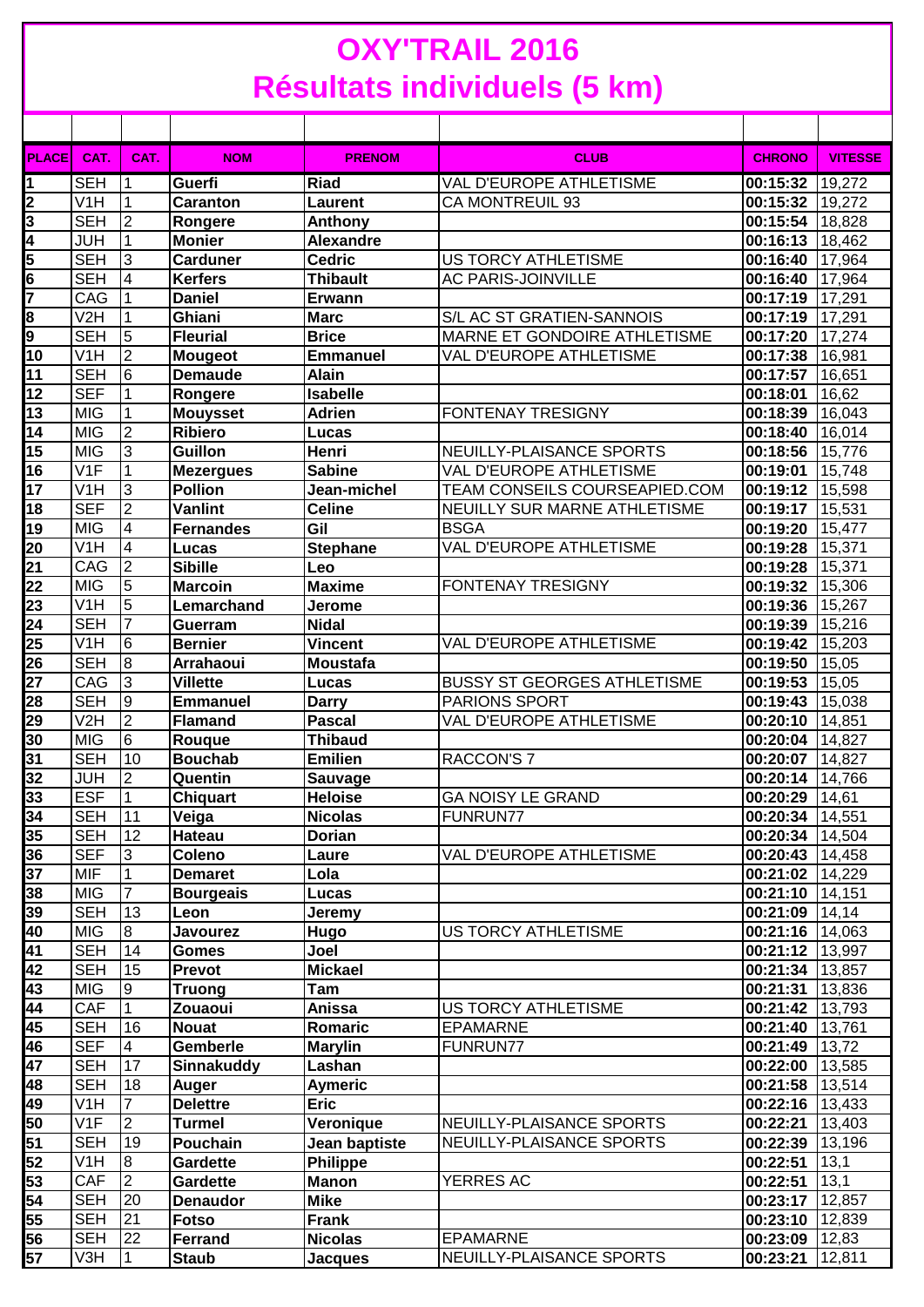## **OXY'TRAIL 2016 Résultats individuels (5 km)**

| <b>PLACE</b>            | CAT.                    | CAT.            | <b>NOM</b>        | <b>PRENOM</b>   | <b>CLUB</b>                        | <b>CHRONO</b>     | <b>VITESSE</b> |
|-------------------------|-------------------------|-----------------|-------------------|-----------------|------------------------------------|-------------------|----------------|
| 1                       | <b>SEH</b>              |                 | Guerfi            | <b>Riad</b>     | <b>VAL D'EUROPE ATHLETISME</b>     | 00:15:32          | 19,272         |
| 2                       | V1H                     | 1               | <b>Caranton</b>   | <b>Laurent</b>  | <b>CA MONTREUIL 93</b>             | 00:15:32 19,272   |                |
| 3                       | <b>SEH</b>              | l2              | Rongere           | Anthony         |                                    | 00:15:54 18,828   |                |
| 4                       | <b>JUH</b>              | $\mathbf{1}$    | <b>Monier</b>     | Alexandre       |                                    | 00:16:13          | 18,462         |
| 5                       | <b>SEH</b>              | $\overline{3}$  | <b>Carduner</b>   | <b>Cedric</b>   | <b>US TORCY ATHLETISME</b>         | 00:16:40          | 17,964         |
| 6                       | <b>SEH</b>              | $\overline{4}$  | <b>Kerfers</b>    | <b>Thibault</b> | <b>AC PARIS-JOINVILLE</b>          | 00:16:40          | 17,964         |
| $\overline{\mathbf{r}}$ | CAG                     | 1               | <b>Daniel</b>     | <b>Erwann</b>   |                                    | 00:17:19          | 17,291         |
| 8                       | V2H                     | 1               | Ghiani            | <b>Marc</b>     | S/L AC ST GRATIEN-SANNOIS          | 00:17:19          | 17,291         |
| 9                       | <b>SEH</b>              | $\overline{5}$  | <b>Fleurial</b>   | <b>Brice</b>    | MARNE ET GONDOIRE ATHLETISME       | 00:17:20          | 17,274         |
| 10                      | V <sub>1</sub> H        | $\overline{2}$  | <b>Mougeot</b>    | <b>Emmanuel</b> | VAL D'EUROPE ATHLETISME            | 00:17:38          | 16,981         |
| 11                      | <b>SEH</b>              | 6               | <b>Demaude</b>    | <b>Alain</b>    |                                    | 00:17:57          | 16,651         |
| 12                      | <b>SEF</b>              | 1               | Rongere           | <b>Isabelle</b> |                                    | 00:18:01          | 16,62          |
| 13                      | <b>MIG</b>              | 1               | <b>Mouysset</b>   | <b>Adrien</b>   | <b>FONTENAY TRESIGNY</b>           | 00:18:39          | 16,043         |
| 14                      | <b>MIG</b>              | ا C             | <b>Ribiero</b>    | Lucas           |                                    | 00:18:40          | 16,014         |
| 15                      | <b>MIG</b>              | ادی             | Guillon           | Henri           | NEUILLY-PLAISANCE SPORTS           | 00:18:56          | 15,776         |
| 16                      | V <sub>1</sub> F        | 1               | <b>Mezergues</b>  | <b>Sabine</b>   | VAL D'EUROPE ATHLETISME            | 00:19:01          | 15,748         |
| 17                      | V <sub>1</sub> H        | $\overline{3}$  | <b>Pollion</b>    | Jean-michel     | TEAM CONSEILS COURSEAPIED.COM      | 00:19:12 15,598   |                |
| 18                      | <b>SEF</b>              | $\overline{2}$  | <b>Vanlint</b>    | <b>Celine</b>   | NEUILLY SUR MARNE ATHLETISME       | 00:19:17 15,531   |                |
| 19                      | <b>MIG</b>              | $\overline{4}$  | <b>Fernandes</b>  | Gil             | <b>BSGA</b>                        | 00:19:20 15,477   |                |
| 20                      | V <sub>1</sub> H        | $\overline{4}$  | Lucas             | <b>Stephane</b> | VAL D'EUROPE ATHLETISME            | 00:19:28 15,371   |                |
| 21                      | CAG                     | $\overline{2}$  | <b>Sibille</b>    | Leo             |                                    | 00:19:28          | 15,371         |
| 22                      | <b>MIG</b>              | $5\overline{5}$ | <b>Marcoin</b>    | <b>Maxime</b>   | <b>FONTENAY TRESIGNY</b>           | 00:19:32          | 15,306         |
| 23                      | $\overline{\text{V1H}}$ | $\overline{5}$  | Lemarchand        | Jerome          |                                    | 00:19:36          | 15,267         |
| 24                      | <b>SEH</b>              | $\overline{7}$  | Guerram           | <b>Nidal</b>    |                                    | 00:19:39          | 15,216         |
| 25                      | V <sub>1</sub> H        | 6               | <b>Bernier</b>    | <b>Vincent</b>  | VAL D'EUROPE ATHLETISME            | 00:19:42          | 15,203         |
| 26                      | <b>SEH</b>              | $\infty$        | <b>Arrahaoui</b>  | <b>Moustafa</b> |                                    | 00:19:50          | 15,05          |
| $\overline{27}$         | CAG                     | 3               | <b>Villette</b>   | Lucas           | <b>BUSSY ST GEORGES ATHLETISME</b> | 00:19:53          | 15,05          |
| 28                      | <b>SEH</b>              | 9               | <b>Emmanuel</b>   | <b>Darry</b>    | PARIONS SPORT                      | 00:19:43          | 15,038         |
| 29                      | V <sub>2</sub> H        | $\overline{2}$  | <b>Flamand</b>    | <b>Pascal</b>   | VAL D'EUROPE ATHLETISME            | 00:20:10          | 14,851         |
| 30                      | <b>MIG</b>              | $6\overline{6}$ | Rouque            | <b>Thibaud</b>  |                                    | 00:20:04          | 14,827         |
| 31                      | <b>SEH</b>              | 10              | <b>Bouchab</b>    | <b>Emilien</b>  | RACCON'S 7                         | 00:20:07          | 14,827         |
| 32                      | JUH                     | 2               | Quentin           | Sauvage         |                                    | 00:20:14          | 14,766         |
| 33                      | ESF                     | $\overline{1}$  | <b>Chiquart</b>   | <b>Heloise</b>  | <b>GA NOISY LE GRAND</b>           | 00:20:29 14.61    |                |
| 34                      | <b>SEH</b>              | 11              | Veiga             | <b>Nicolas</b>  | FUNRUN77                           | 00:20:34 14,551   |                |
| 35                      | <b>SEH</b>              | 12              | Hateau            | <b>Dorian</b>   |                                    | 00:20:34          | 14,504         |
| 36                      | <b>SEF</b>              | 3               | Coleno            | Laure           | VAL D'EUROPE ATHLETISME            | 00:20:43 14,458   |                |
| 37                      | <b>MIF</b>              | $\mathbf 1$     | <b>Demaret</b>    | Lola            |                                    | $00:21:02$ 14,229 |                |
| 38                      | <b>MIG</b>              | $\overline{7}$  | <b>Bourgeais</b>  | Lucas           |                                    | 00:21:10 14,151   |                |
| 39                      | <b>SEH</b>              | 13              | Leon              | Jeremy          |                                    | 00:21:09          | 14,14          |
| 40                      | <b>MIG</b>              | 8               | <b>Javourez</b>   | Hugo            | <b>US TORCY ATHLETISME</b>         | $00:21:16$ 14,063 |                |
| 41                      | <b>SEH</b>              | 14              | <b>Gomes</b>      | Joel            |                                    | 00:21:12 13,997   |                |
| 42                      | <b>SEH</b>              | 15              | Prevot            | <b>Mickael</b>  |                                    | 00:21:34          | 13,857         |
| 43                      | <b>MIG</b>              | 9               | <b>Truong</b>     | Tam             |                                    | 00:21:31          | 13,836         |
| 44                      | <b>CAF</b>              | $\mathbf 1$     | Zouaoui           | Anissa          | US TORCY ATHLETISME                | 00:21:42 13,793   |                |
| 45                      | <b>SEH</b>              | 16              | <b>Nouat</b>      | Romaric         | <b>EPAMARNE</b>                    | 00:21:40 13,761   |                |
| 46                      | <b>SEF</b>              | $\overline{4}$  | <b>Gemberle</b>   | <b>Marylin</b>  | FUNRUN77                           | 00:21:49 13,72    |                |
| 47                      | <b>SEH</b>              | 17              | <b>Sinnakuddy</b> | Lashan          |                                    | 00:22:00 13,585   |                |
| 48                      | <b>SEH</b>              | 18              | Auger             | <b>Aymeric</b>  |                                    | 00:21:58 13,514   |                |
| 49                      | V <sub>1</sub> H        | $\overline{7}$  | <b>Delettre</b>   | <b>Eric</b>     |                                    | $00:22:16$ 13,433 |                |
| 50                      | V <sub>1</sub> F        | $\overline{2}$  | <b>Turmel</b>     | Veronique       | NEUILLY-PLAISANCE SPORTS           | $00:22:21$ 13,403 |                |
| 51                      | <b>SEH</b>              | 19              | Pouchain          | Jean baptiste   | NEUILLY-PLAISANCE SPORTS           | 00:22:39 13,196   |                |
| 52                      | V <sub>1</sub> H        | 8               | Gardette          | Philippe        |                                    | 00:22:51          | 13,1           |
| 53                      | <b>CAF</b>              | I2              | Gardette          | <b>Manon</b>    | <b>YERRES AC</b>                   | 00:22:51          | 13,1           |
| 54                      | <b>SEH</b>              | 20              | <b>Denaudor</b>   | <b>Mike</b>     |                                    | 00:23:17          | 12,857         |
| 55                      | <b>SEH</b>              | 21              | <b>Fotso</b>      | <b>Frank</b>    |                                    | 00:23:10          | 12,839         |
| 56                      | <b>SEH</b>              | 22              | Ferrand           | <b>Nicolas</b>  | <b>EPAMARNE</b>                    | 00:23:09          | 12,83          |
| 57                      | V3H                     | $\vert$ 1       | <b>Staub</b>      | <b>Jacques</b>  | NEUILLY-PLAISANCE SPORTS           | 00:23:21          | 12,811         |
|                         |                         |                 |                   |                 |                                    |                   |                |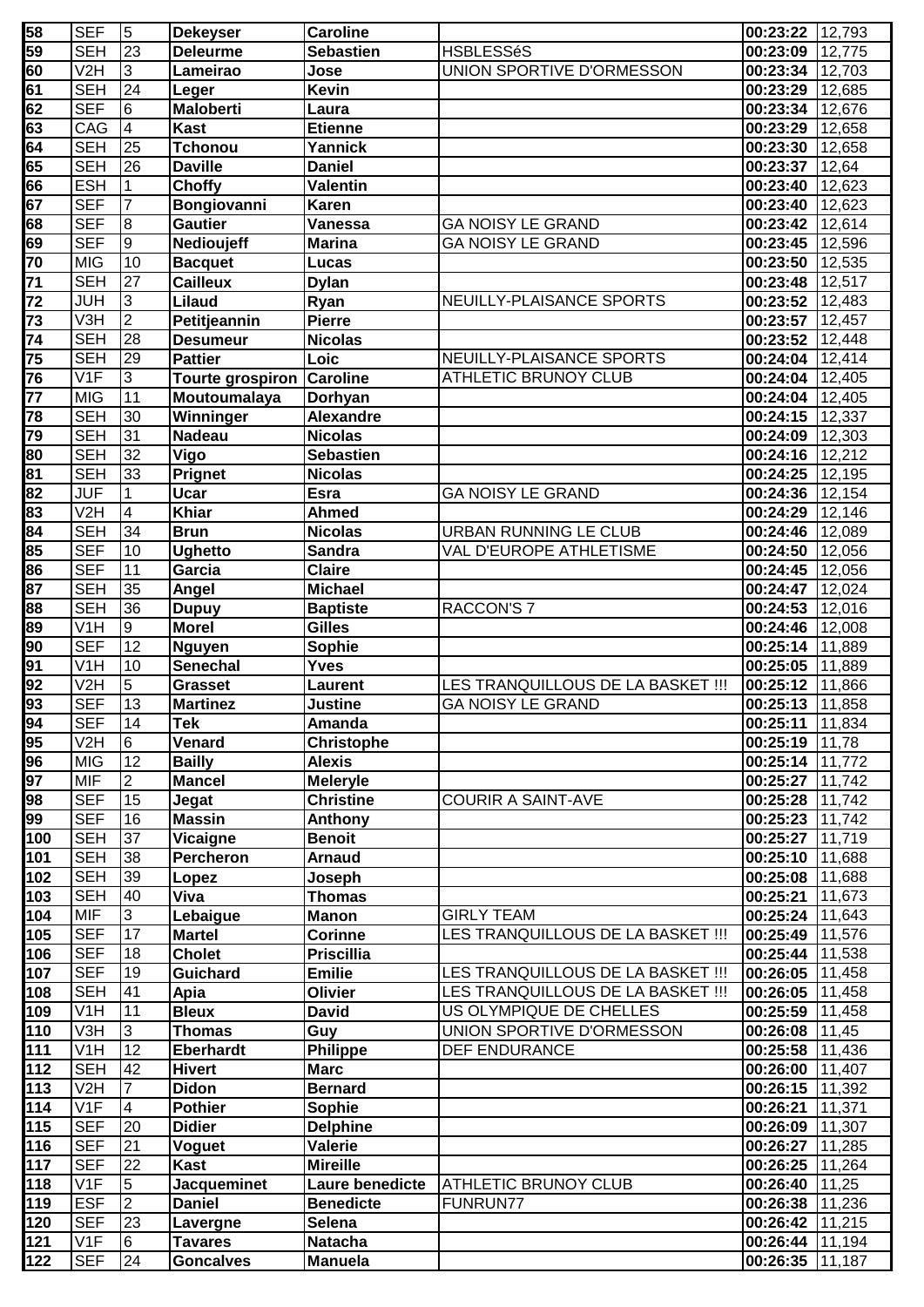| 58              | <b>SEF</b>       | 5               | <b>Dekeyser</b>         | <b>Caroline</b>   |                                   | 00:23:22 12,793   |        |
|-----------------|------------------|-----------------|-------------------------|-------------------|-----------------------------------|-------------------|--------|
| 59              | <b>SEH</b>       | $\overline{23}$ | <b>Deleurme</b>         | <b>Sebastien</b>  | <b>HSBLESSéS</b>                  | 00:23:09 12,775   |        |
| 60              | V <sub>2</sub> H | ပြ              | Lameirao                | Jose              | UNION SPORTIVE D'ORMESSON         | 00:23:34 12,703   |        |
| 61              | <b>SEH</b>       | 24              | Leger                   | <b>Kevin</b>      |                                   | 00:23:29          | 12,685 |
| 62              | <b>SEF</b>       | $6\overline{6}$ | <b>Maloberti</b>        | Laura             |                                   | 00:23:34          | 12,676 |
| 63              | CAG              | $\overline{4}$  | <b>Kast</b>             | <b>Etienne</b>    |                                   | 00:23:29          | 12,658 |
| 64              | <b>SEH</b>       | 25              | <b>Tchonou</b>          | Yannick           |                                   | 00:23:30          | 12,658 |
| 65              | <b>SEH</b>       | 26              | <b>Daville</b>          | <b>Daniel</b>     |                                   | 00:23:37          | 12,64  |
| 66              | <b>ESH</b>       | $\mathbf 1$     | Choffy                  | <b>Valentin</b>   |                                   | 00:23:40          | 12,623 |
| 67              | <b>SEF</b>       | $\overline{7}$  | Bongiovanni             | Karen             |                                   | 00:23:40          | 12,623 |
| 68              | <b>SEF</b>       | 8               | <b>Gautier</b>          | Vanessa           | <b>GA NOISY LE GRAND</b>          | 00:23:42 12,614   |        |
| 69              | <b>SEF</b>       | 9               | Nedioujeff              | <b>Marina</b>     | <b>GA NOISY LE GRAND</b>          | 00:23:45 12,596   |        |
| 70              | <b>MIG</b>       | 10              |                         |                   |                                   |                   |        |
|                 |                  |                 | <b>Bacquet</b>          | Lucas             |                                   | 00:23:50          | 12,535 |
| 71              | <b>SEH</b>       | 27              | <b>Cailleux</b>         | <b>Dylan</b>      |                                   | 00:23:48          | 12,517 |
| 72              | <b>JUH</b>       | c               | Lilaud                  | Ryan              | NEUILLY-PLAISANCE SPORTS          | 00:23:52          | 12,483 |
| 73              | V3H              | ا C             | Petitjeannin            | <b>Pierre</b>     |                                   | 00:23:57          | 12,457 |
| 74              | <b>SEH</b>       | 28              | <b>Desumeur</b>         | <b>Nicolas</b>    |                                   | 00:23:52          | 12,448 |
| 75              | <b>SEH</b>       | 29              | <b>Pattier</b>          | Loic              | NEUILLY-PLAISANCE SPORTS          | 00:24:04          | 12,414 |
| 76              | V1F              | $\overline{3}$  | <b>Tourte grospiron</b> | <b>Caroline</b>   | <b>ATHLETIC BRUNOY CLUB</b>       | 00:24:04          | 12,405 |
| 77              | <b>MIG</b>       | 11              | Moutoumalaya            | Dorhyan           |                                   | 00:24:04          | 12,405 |
| 78              | <b>SEH</b>       | 30              | <b>Winninger</b>        | <b>Alexandre</b>  |                                   | 00:24:15          | 12,337 |
| 79              | <b>SEH</b>       | 31              | <b>Nadeau</b>           | <b>Nicolas</b>    |                                   | $00:24:09$ 12,303 |        |
| 80              | <b>SEH</b>       | 32              | Vigo                    | <b>Sebastien</b>  |                                   | 00:24:16 12,212   |        |
| 81              | <b>SEH</b>       | 33              | Prignet                 | <b>Nicolas</b>    |                                   | 00:24:25 12,195   |        |
| 82              | <b>JUF</b>       | 1               | <b>Ucar</b>             | <b>Esra</b>       | <b>GA NOISY LE GRAND</b>          | 00:24:36 12,154   |        |
| 83              | V <sub>2</sub> H | 4               | <b>Khiar</b>            | <b>Ahmed</b>      |                                   | 00:24:29 12,146   |        |
| 84              | <b>SEH</b>       | 34              | <b>Brun</b>             | <b>Nicolas</b>    | <b>URBAN RUNNING LE CLUB</b>      | 00:24:46 12,089   |        |
| 85              | <b>SEF</b>       | 10              | <b>Ughetto</b>          | <b>Sandra</b>     | VAL D'EUROPE ATHLETISME           | 00:24:50          | 12,056 |
| 86              | <b>SEF</b>       | 11              | Garcia                  | <b>Claire</b>     |                                   | 00:24:45          | 12,056 |
| 87              | <b>SEH</b>       | 35              | Angel                   | <b>Michael</b>    |                                   | 00:24:47          | 12,024 |
| 88              | <b>SEH</b>       | $\overline{36}$ | <b>Dupuy</b>            | <b>Baptiste</b>   | <b>RACCON'S 7</b>                 | 00:24:53          | 12,016 |
| 89              | V <sub>1</sub> H | 9               | <b>Morel</b>            | Gilles            |                                   | 00:24:46          | 12,008 |
| 90              | <b>SEF</b>       | $\overline{12}$ | <b>Nguyen</b>           | Sophie            |                                   | 00:25:14          | 11,889 |
| 91              | V <sub>1</sub> H | 10              | Senechal                | <b>Yves</b>       |                                   | 00:25:05          | 11,889 |
| 92              | V <sub>2</sub> H | $\overline{5}$  | Grasset                 | Laurent           | LES TRANQUILLOUS DE LA BASKET !!! | 00:25:12          | 11,866 |
| $\overline{93}$ | <b>SEF</b>       | 13              | <b>Martinez</b>         | <b>Justine</b>    | <b>GA NOISY LE GRAND</b>          | 00:25:13 11,858   |        |
| 94              | <b>SEF</b>       | $\overline{14}$ | <b>Tek</b>              |                   |                                   | 00:25:11          | 11,834 |
| 95              | V <sub>2</sub> H | 6               | Venard                  | Amanda            |                                   |                   |        |
|                 |                  | 12              |                         | <b>Christophe</b> |                                   | 00:25:19 11,78    |        |
| 96              | <b>MIG</b>       |                 | <b>Bailly</b>           | <b>Alexis</b>     |                                   | 00:25:14 11,772   |        |
| 97              | <b>MIF</b>       | $\overline{2}$  | <b>Mancel</b>           | <b>Meleryle</b>   |                                   | 00:25:27 11,742   |        |
| 98              | <b>SEF</b>       | 15              | Jegat                   | <b>Christine</b>  | <b>COURIR A SAINT-AVE</b>         | 00:25:28 11,742   |        |
| 99              | <b>SEF</b>       | 16              | <b>Massin</b>           | Anthony           |                                   | 00:25:23 11,742   |        |
| 100             | <b>SEH</b>       | 37              | Vicaigne                | <b>Benoit</b>     |                                   | 00:25:27          | 11,719 |
| 101             | <b>SEH</b>       | 38              | Percheron               | <b>Arnaud</b>     |                                   | 00:25:10 11,688   |        |
| 102             | <b>SEH</b>       | 39              | Lopez                   | Joseph            |                                   | 00:25:08          | 11,688 |
| 103             | <b>SEH</b>       | 40              | Viva                    | <b>Thomas</b>     |                                   | 00:25:21          | 11,673 |
| 104             | <b>MIF</b>       | 3               | Lebaigue                | <b>Manon</b>      | <b>GIRLY TEAM</b>                 | 00:25:24          | 11,643 |
| 105             | <b>SEF</b>       | 17              | <b>Martel</b>           | <b>Corinne</b>    | LES TRANQUILLOUS DE LA BASKET !!! | 00:25:49          | 11,576 |
| 106             | <b>SEF</b>       | 18              | <b>Cholet</b>           | <b>Priscillia</b> |                                   | 00:25:44          | 11,538 |
| 107             | <b>SEF</b>       | 19              | <b>Guichard</b>         | <b>Emilie</b>     | LES TRANQUILLOUS DE LA BASKET !!! | 00:26:05          | 11,458 |
| 108             | <b>SEH</b>       | 41              | Apia                    | Olivier           | LES TRANQUILLOUS DE LA BASKET !!! | 00:26:05          | 11,458 |
| 109             | V <sub>1</sub> H | 11              | <b>Bleux</b>            | <b>David</b>      | US OLYMPIQUE DE CHELLES           | 00:25:59          | 11,458 |
| 110             | V3H              | $\overline{3}$  | <b>Thomas</b>           | Guy               | UNION SPORTIVE D'ORMESSON         | 00:26:08          | 11,45  |
| 111             | V <sub>1</sub> H | 12              | <b>Eberhardt</b>        | Philippe          | DEF ENDURANCE                     | 00:25:58          | 11,436 |
| 112             | <b>SEH</b>       | 42              | <b>Hivert</b>           | <b>Marc</b>       |                                   | 00:26:00          | 11,407 |
| 113             | V <sub>2</sub> H | $\overline{7}$  | <b>Didon</b>            | <b>Bernard</b>    |                                   | 00:26:15          | 11,392 |
| 114             | V <sub>1</sub> F | $\overline{4}$  | <b>Pothier</b>          | Sophie            |                                   | 00:26:21          | 11,371 |
| 115             | <b>SEF</b>       | 20              | <b>Didier</b>           | <b>Delphine</b>   |                                   | 00:26:09          | 11,307 |
| 116             | <b>SEF</b>       | 21              | Voguet                  | Valerie           |                                   | 00:26:27          | 11,285 |
| 117             | <b>SEF</b>       | 22              | Kast                    | <b>Mireille</b>   |                                   | 00:26:25 11,264   |        |
| 118             | V <sub>1</sub> F | $\overline{5}$  | <b>Jacqueminet</b>      | Laure benedicte   | ATHLETIC BRUNOY CLUB              | 00:26:40          | 11,25  |
| 119             | <b>ESF</b>       | $\overline{2}$  | <b>Daniel</b>           | <b>Benedicte</b>  | FUNRUN77                          | 00:26:38          | 11,236 |
| 120             | <b>SEF</b>       | 23              |                         | <b>Selena</b>     |                                   | 00:26:42          | 11,215 |
| 121             | V <sub>1</sub> F | $\overline{6}$  | Lavergne                | <b>Natacha</b>    |                                   | 00:26:44          | 11,194 |
|                 |                  |                 | <b>Tavares</b>          |                   |                                   |                   |        |
| 122             | <b>SEF</b>       | 24              | <b>Goncalves</b>        | <b>Manuela</b>    |                                   | 00:26:35          | 11,187 |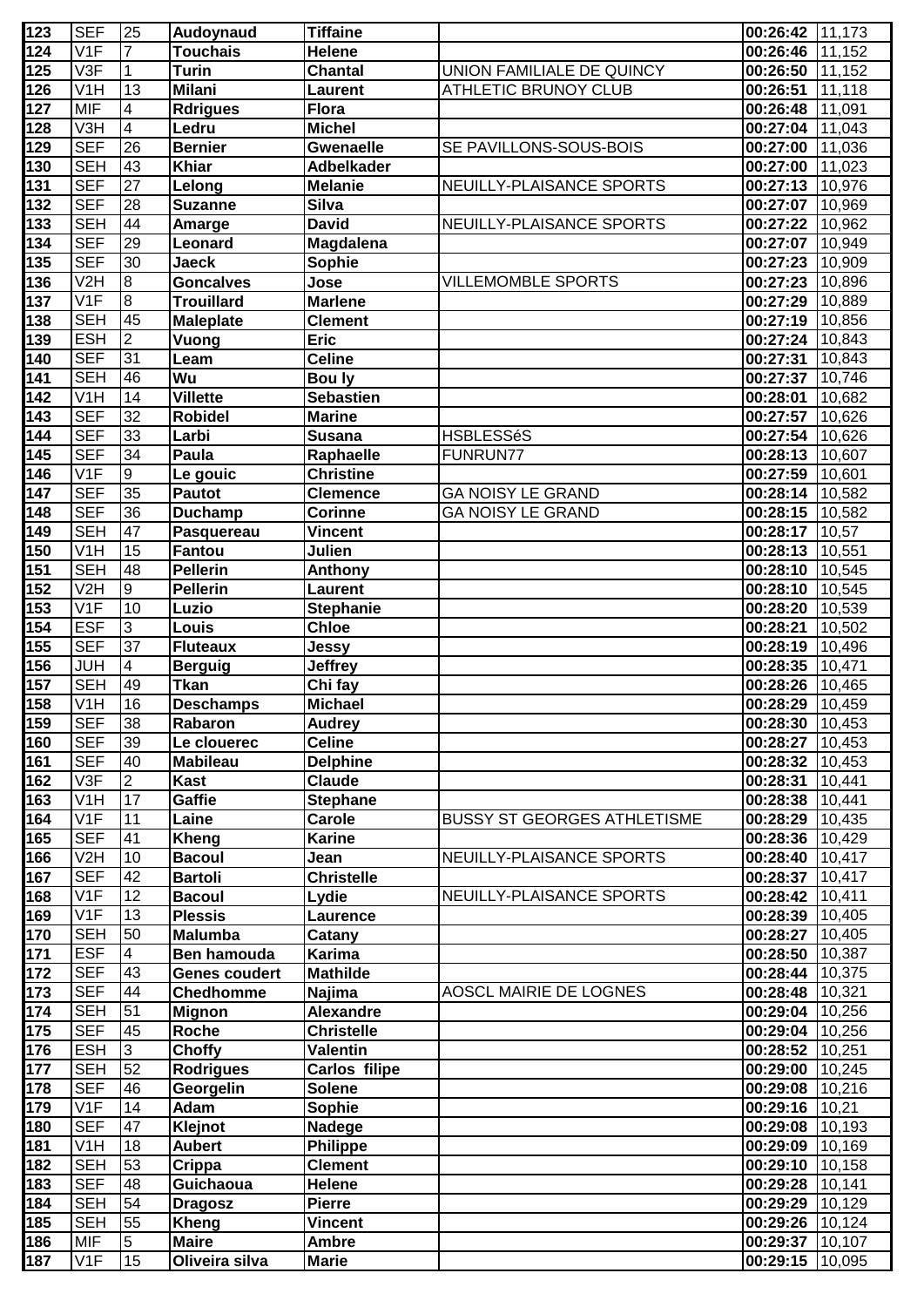| 123 | <b>SEF</b>              | 25                      | Audoynaud         | <b>Tiffaine</b>   |                                    | $00:26:42$ 11,173     |        |
|-----|-------------------------|-------------------------|-------------------|-------------------|------------------------------------|-----------------------|--------|
| 124 | V <sub>1F</sub>         | $\overline{7}$          | <b>Touchais</b>   | <b>Helene</b>     |                                    | $00:26:46$ 11,152     |        |
| 125 | V3F                     | $\mathbf{1}$            | <b>Turin</b>      | <b>Chantal</b>    | UNION FAMILIALE DE QUINCY          | $00:26:50$ 11,152     |        |
| 126 | V <sub>1</sub> H        | 13                      | <b>Milani</b>     | Laurent           | <b>ATHLETIC BRUNOY CLUB</b>        | 00:26:51              | 11,118 |
| 127 | <b>MIF</b>              | $\overline{\mathbf{4}}$ | <b>Rdrigues</b>   | <b>Flora</b>      |                                    | 00:26:48              | 11,091 |
| 128 | V3H                     | $\overline{4}$          | Ledru             | <b>Michel</b>     |                                    | 00:27:04              | 11,043 |
| 129 | <b>SEF</b>              | 26                      | <b>Bernier</b>    | <b>Gwenaelle</b>  | SE PAVILLONS-SOUS-BOIS             | 00:27:00              | 11,036 |
| 130 | <b>SEH</b>              | 43                      | <b>Khiar</b>      | <b>Adbelkader</b> |                                    | 00:27:00              | 11,023 |
| 131 | <b>SEF</b>              | 27                      | Lelong            | <b>Melanie</b>    | NEUILLY-PLAISANCE SPORTS           | 00:27:13 10,976       |        |
| 132 | <b>SEF</b>              | 28                      | <b>Suzanne</b>    | <b>Silva</b>      |                                    | 00:27:07 10,969       |        |
| 133 | <b>SEH</b>              | 44                      | Amarge            | <b>David</b>      | NEUILLY-PLAISANCE SPORTS           | 00:27:22              | 10,962 |
| 134 | <b>SEF</b>              | 29                      | Leonard           | Magdalena         |                                    | 00:27:07              | 10,949 |
| 135 | <b>SEF</b>              | 30                      | <b>Jaeck</b>      | Sophie            |                                    | 00:27:23              | 10,909 |
| 136 | V <sub>2</sub> H        | $\bf{8}$                | <b>Goncalves</b>  | Jose              | <b>VILLEMOMBLE SPORTS</b>          | 00:27:23              | 10,896 |
| 137 | V <sub>1F</sub>         | oο                      | <b>Trouillard</b> | <b>Marlene</b>    |                                    | 00:27:29              | 10,889 |
| 138 | <b>SEH</b>              | 45                      | <b>Maleplate</b>  | <b>Clement</b>    |                                    | 00:27:19              | 10,856 |
| 139 | <b>ESH</b>              | $\overline{2}$          | Vuong             | <b>Eric</b>       |                                    | 00:27:24              | 10,843 |
| 140 | <b>SEF</b>              | 31                      | Leam              | Celine            |                                    | 00:27:31              | 10,843 |
| 141 | <b>SEH</b>              | 46                      | Wu                | Bou ly            |                                    | 00:27:37              | 10,746 |
| 142 | V <sub>1</sub> H        | 14                      | <b>Villette</b>   | <b>Sebastien</b>  |                                    | 00:28:01              | 10,682 |
| 143 | <b>SEF</b>              | 32                      | <b>Robidel</b>    | <b>Marine</b>     |                                    | 00:27:57              | 10,626 |
| 144 | <b>SEF</b>              | 33                      | Larbi             | <b>Susana</b>     | <b>HSBLESSéS</b>                   | 00:27:54              | 10,626 |
| 145 | <b>SEF</b>              | 34                      | Paula             | Raphaelle         | FUNRUN77                           | 00:28:13              | 10,607 |
| 146 | V <sub>1</sub> F        | $\overline{9}$          | Le gouic          | <b>Christine</b>  |                                    | 00:27:59              | 10,601 |
| 147 | <b>SEF</b>              | 35                      | Pautot            | <b>Clemence</b>   | <b>GA NOISY LE GRAND</b>           | 00:28:14 10,582       |        |
| 148 | <b>SEF</b>              | 36                      | <b>Duchamp</b>    | <b>Corinne</b>    | <b>GA NOISY LE GRAND</b>           | 00:28:15 10,582       |        |
|     | <b>SEH</b>              | 47                      |                   | <b>Vincent</b>    |                                    | 00:28:17              | 10,57  |
| 149 | $\overline{\text{V1H}}$ | 15                      | Pasquereau        |                   |                                    |                       |        |
| 150 | <b>SEH</b>              | 48                      | Fantou            | Julien            |                                    | 00:28:13              | 10,551 |
| 151 | V2H                     | $\overline{6}$          | <b>Pellerin</b>   | Anthony           |                                    | 00:28:10              | 10,545 |
| 152 |                         |                         | <b>Pellerin</b>   | <b>Laurent</b>    |                                    | 00:28:10              | 10,545 |
| 153 | V1F                     | 10                      | Luzio             | <b>Stephanie</b>  |                                    | 00:28:20              | 10,539 |
| 154 | <b>ESF</b>              | S                       | Louis             | <b>Chloe</b>      |                                    | 00:28:21              | 10,502 |
| 155 | <b>SEF</b>              | 37                      | <b>Fluteaux</b>   | Jessy             |                                    | 00:28:19              | 10,496 |
| 156 | <b>JUH</b>              | $\overline{4}$          | <b>Berguig</b>    | <b>Jeffrey</b>    |                                    | 00:28:35              | 10,471 |
| 157 | <b>SEH</b>              | 49                      | <b>Tkan</b>       | Chi fay           |                                    | 00:28:26              | 10,465 |
| 158 | $\overline{\text{V1H}}$ | 16                      | <b>Deschamps</b>  | <b>Michael</b>    |                                    | 00:28:29              | 10,459 |
| 159 | <b>SEF</b>              | $\overline{38}$         | Rabaron           | <b>Audrey</b>     |                                    | $00:28:30$ 10,453     |        |
| 160 | <b>SEF</b>              | 39                      | Le clouerec       | <b>Celine</b>     |                                    | 00:28:27              | 10,453 |
| 161 | <b>SEF</b>              | 40                      | <b>Mabileau</b>   | <b>Delphine</b>   |                                    | 00:28:32              | 10,453 |
| 162 | V3F                     | $\overline{2}$          | Kast              | <b>Claude</b>     |                                    | 00:28:31              | 10,441 |
| 163 | V <sub>1</sub> H        | 17                      | Gaffie            | <b>Stephane</b>   |                                    | 00:28:38              | 10,441 |
| 164 | V <sub>1</sub> F        | 11                      | Laine             | Carole            | <b>BUSSY ST GEORGES ATHLETISME</b> | 00:28:29              | 10,435 |
| 165 | <b>SEF</b>              | 41                      | Kheng             | <b>Karine</b>     |                                    | 00:28:36 10,429       |        |
| 166 | V <sub>2</sub> H        | 10                      | <b>Bacoul</b>     | Jean              | NEUILLY-PLAISANCE SPORTS           | 00:28:40              | 10,417 |
| 167 | <b>SEF</b>              | 42                      | <b>Bartoli</b>    | <b>Christelle</b> |                                    | 00:28:37              | 10,417 |
| 168 | V <sub>1</sub> F        | 12                      | <b>Bacoul</b>     | Lydie             | NEUILLY-PLAISANCE SPORTS           | 00:28:42              | 10,411 |
| 169 | V <sub>1</sub> F        | 13                      | <b>Plessis</b>    | Laurence          |                                    | 00:28:39              | 10,405 |
| 170 | <b>SEH</b>              | 50                      | <b>Malumba</b>    | Catany            |                                    | 00:28:27              | 10,405 |
| 171 | <b>ESF</b>              | $\overline{4}$          | Ben hamouda       | Karima            |                                    | 00:28:50              | 10,387 |
| 172 | <b>SEF</b>              | 43                      | Genes coudert     | <b>Mathilde</b>   |                                    | 00:28:44              | 10,375 |
| 173 | <b>SEF</b>              | 44                      | <b>Chedhomme</b>  | Najima            | AOSCL MAIRIE DE LOGNES             | 00:28:48              | 10,321 |
| 174 | <b>SEH</b>              | 51                      | <b>Mignon</b>     | <b>Alexandre</b>  |                                    | 00:29:04              | 10,256 |
| 175 | <b>SEF</b>              | 45                      | Roche             | Christelle        |                                    | 00:29:04              | 10,256 |
| 176 | <b>ESH</b>              | 3                       | Choffy            | Valentin          |                                    | 00:28:52              | 10,251 |
| 177 | <b>SEH</b>              | 52                      | <b>Rodrigues</b>  | Carlos filipe     |                                    | 00:29:00              | 10,245 |
| 178 | <b>SEF</b>              | 46                      | Georgelin         | <b>Solene</b>     |                                    | 00:29:08              | 10,216 |
| 179 | V <sub>1</sub> F        | 14                      | Adam              | Sophie            |                                    | $\overline{00:}29:16$ | 10,21  |
| 180 | <b>SEF</b>              | 47                      | Klejnot           | Nadege            |                                    | 00:29:08 10,193       |        |
| 181 | V <sub>1</sub> H        | 18                      | <b>Aubert</b>     | Philippe          |                                    | 00:29:09 10,169       |        |
| 182 | <b>SEH</b>              | 53                      | Crippa            | <b>Clement</b>    |                                    | 00:29:10              | 10,158 |
| 183 | <b>SEF</b>              | 48                      | Guichaoua         | Helene            |                                    | 00:29:28              | 10,141 |
| 184 | <b>SEH</b>              | 54                      | <b>Dragosz</b>    | <b>Pierre</b>     |                                    | 00:29:29              | 10,129 |
| 185 | <b>SEH</b>              | 55                      | <b>Kheng</b>      | Vincent           |                                    | 00:29:26              | 10,124 |
| 186 | <b>MIF</b>              | $\overline{5}$          | <b>Maire</b>      | <b>Ambre</b>      |                                    | 00:29:37              | 10,107 |
| 187 | V <sub>1F</sub>         | 15                      | Oliveira silva    | <b>Marie</b>      |                                    | 00:29:15              | 10,095 |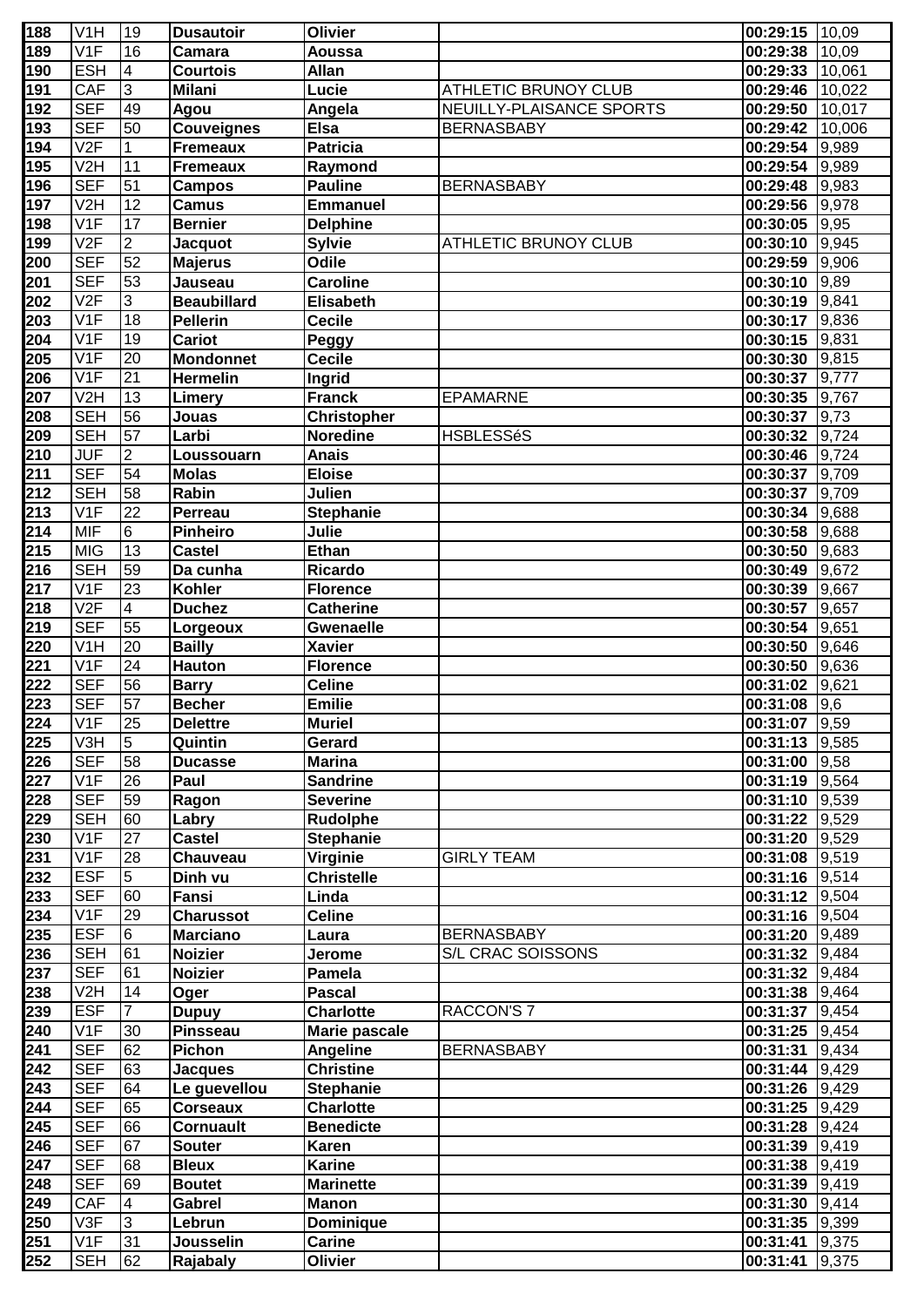| 188              | V <sub>1</sub> H          | 19              | <b>Dusautoir</b>   | <b>Olivier</b>     |                          | $00:29:15$ 10,09 |        |
|------------------|---------------------------|-----------------|--------------------|--------------------|--------------------------|------------------|--------|
| 189              | V1F                       | 16              | Camara             | <b>Aoussa</b>      |                          | 00:29:38 10,09   |        |
| 190              | <b>ESH</b>                | $\overline{4}$  | <b>Courtois</b>    | <b>Allan</b>       |                          | 00:29:33 10,061  |        |
| 191              | CAF                       | $\overline{3}$  | <b>Milani</b>      | Lucie              | ATHLETIC BRUNOY CLUB     | 00:29:46 10,022  |        |
| 192              | <b>SEF</b>                | 49              | Agou               | Angela             | NEUILLY-PLAISANCE SPORTS | 00:29:50         | 10,017 |
| 193              | <b>SEF</b>                | 50              | <b>Couveignes</b>  | <b>Elsa</b>        | <b>BERNASBABY</b>        | 00:29:42         | 10,006 |
| 194              | V2F                       | $\overline{1}$  | <b>Fremeaux</b>    | <b>Patricia</b>    |                          | 00:29:54         | 9,989  |
| 195              | V <sub>2</sub> H          | 11              | <b>Fremeaux</b>    | Raymond            |                          | $00:29:54$ 9,989 |        |
| 196              | <b>SEF</b>                | 51              | <b>Campos</b>      | <b>Pauline</b>     | <b>BERNASBABY</b>        | $00:29:48$ 9,983 |        |
| 197              | V <sub>2</sub> H          | 12              | <b>Camus</b>       | <b>Emmanuel</b>    |                          | 00:29:56 9,978   |        |
| 198              | V1F                       | 17              | <b>Bernier</b>     | <b>Delphine</b>    |                          | $00:30:05$ 9,95  |        |
| 199              | V2F                       | $\overline{2}$  |                    | <b>Sylvie</b>      | ATHLETIC BRUNOY CLUB     | 00:30:10 9,945   |        |
|                  | <b>SEF</b>                | 52              | <b>Jacquot</b>     | <b>Odile</b>       |                          |                  |        |
| 200              |                           |                 | <b>Majerus</b>     |                    |                          | 00:29:59 9,906   |        |
| 201              | <b>SEF</b>                | 53              | Jauseau            | Caroline           |                          | 00:30:10         | 9,89   |
| 202              | V2F                       | $\overline{3}$  | <b>Beaubillard</b> | Elisabeth          |                          | 00:30:19 9,841   |        |
| 203              | V <sub>1</sub> F          | 18              | <b>Pellerin</b>    | <b>Cecile</b>      |                          | 00:30:17         | 9,836  |
| 204              | V1F                       | 19              | <b>Cariot</b>      | Peggy              |                          | $00:30:15$ 9,831 |        |
| 205              | V1F                       | 20              | <b>Mondonnet</b>   | <b>Cecile</b>      |                          | 00:30:30 9,815   |        |
| 206              | V <sub>1F</sub>           | 21              | <b>Hermelin</b>    | Ingrid             |                          | 00:30:37         | 9,777  |
| 207              | V <sub>2</sub> H          | 13              | Limery             | <b>Franck</b>      | <b>EPAMARNE</b>          | $00:30:35$ 9,767 |        |
| 208              | <b>SEH</b>                | 56              | Jouas              | <b>Christopher</b> |                          | 00:30:37         | 9,73   |
| 209              | <b>SEH</b>                | 57              | Larbi              | <b>Noredine</b>    | <b>HSBLESSéS</b>         | 00:30:32 9,724   |        |
| 210              | <b>JUF</b>                | $\overline{2}$  | Loussouarn         | <b>Anais</b>       |                          | 00:30:46 9,724   |        |
| 211              | <b>SEF</b>                | 54              | <b>Molas</b>       | <b>Eloise</b>      |                          | 00:30:37 9,709   |        |
| 212              | <b>SEH</b>                | 58              | Rabin              | Julien             |                          | 00:30:37 9,709   |        |
| 213              | V <sub>1F</sub>           | 22              | Perreau            | <b>Stephanie</b>   |                          | 00:30:34 9,688   |        |
| 214              | <b>MIF</b>                | 6               | <b>Pinheiro</b>    | Julie              |                          | 00:30:58 9,688   |        |
| 215              | <b>MIG</b>                | 13              | <b>Castel</b>      | <b>Ethan</b>       |                          | 00:30:50 9,683   |        |
| 216              | <b>SEH</b>                | 59              | Da cunha           | Ricardo            |                          | 00:30:49 9,672   |        |
| 217              | V1F                       | 23              | Kohler             | <b>Florence</b>    |                          | 00:30:39 9,667   |        |
| 218              | V2F                       | $\overline{4}$  | <b>Duchez</b>      | <b>Catherine</b>   |                          | 00:30:57         | 9,657  |
| 219              | <b>SEF</b>                | 55              | Lorgeoux           | <b>Gwenaelle</b>   |                          | 00:30:54         | 9,651  |
| 220              | $\overline{\mathsf{V1H}}$ | 20              | <b>Bailly</b>      | <b>Xavier</b>      |                          | 00:30:50         | 9,646  |
|                  | V1F                       | 24              | <b>Hauton</b>      |                    |                          | $00:30:50$ 9,636 |        |
| 221              | <b>SEF</b>                | 56              |                    | <b>Florence</b>    |                          | 00:31:02 9.621   |        |
| 222              |                           |                 | <b>Barry</b>       | <b>Celine</b>      |                          |                  |        |
| 223              | <b>SEF</b>                | 57              | <b>Becher</b>      | <b>Emilie</b>      |                          | $00:31:08$ 9,6   |        |
| $\overline{224}$ | V1F                       | 25              | <b>Delettre</b>    | <b>Muriel</b>      |                          | 00:31:07 9,59    |        |
| 225              | V3H                       | $\overline{5}$  | Quintin            | Gerard             |                          | 00:31:13         | 9,585  |
| 226              | <b>SEF</b>                | 58              | <b>Ducasse</b>     | <b>Marina</b>      |                          | 00:31:00         | 9,58   |
| 227              | V <sub>1</sub> F          | 26              | Paul               | <b>Sandrine</b>    |                          | 00:31:19 9,564   |        |
| 228              | <b>SEF</b>                | 59              | Ragon              | <b>Severine</b>    |                          | 00:31:10         | 9,539  |
| 229              | <b>SEH</b>                | 60              | Labry              | Rudolphe           |                          | 00:31:22         | 9,529  |
| 230              | V <sub>1F</sub>           | 27              | <b>Castel</b>      | Stephanie          |                          | 00:31:20 9,529   |        |
| 231              | V <sub>1F</sub>           | 28              | Chauveau           | Virginie           | <b>GIRLY TEAM</b>        | 00:31:08 9,519   |        |
| 232              | <b>ESF</b>                | $\overline{5}$  | Dinh vu            | Christelle         |                          | 00:31:16 9,514   |        |
| 233              | <b>SEF</b>                | 60              | Fansi              | Linda              |                          | 00:31:12 9,504   |        |
| 234              | V <sub>1</sub> F          | 29              | <b>Charussot</b>   | <b>Celine</b>      |                          | 00:31:16 9,504   |        |
| 235              | <b>ESF</b>                | $6\overline{6}$ | <b>Marciano</b>    | Laura              | <b>BERNASBABY</b>        | 00:31:20 9,489   |        |
| 236              | <b>SEH</b>                | 61              | <b>Noizier</b>     | Jerome             | S/L CRAC SOISSONS        | 00:31:32 9,484   |        |
| 237              | <b>SEF</b>                | 61              | <b>Noizier</b>     | Pamela             |                          | 00:31:32         | 9,484  |
| 238              | V <sub>2</sub> H          | 14              | Oger               | <b>Pascal</b>      |                          | 00:31:38 9,464   |        |
| 239              | <b>ESF</b>                | $\overline{7}$  | <b>Dupuy</b>       | <b>Charlotte</b>   | <b>RACCON'S 7</b>        | 00:31:37         | 9,454  |
| 240              | V <sub>1</sub> F          | 30              | <b>Pinsseau</b>    | Marie pascale      |                          | 00:31:25 9,454   |        |
| 241              | <b>SEF</b>                | 62              | Pichon             | Angeline           | <b>BERNASBABY</b>        | 00:31:31         | 9,434  |
| 242              | <b>SEF</b>                | 63              | <b>Jacques</b>     | <b>Christine</b>   |                          | 00:31:44         | 9,429  |
|                  | <b>SEF</b>                | 64              |                    | <b>Stephanie</b>   |                          | $00:31:26$ 9,429 |        |
| 243              | <b>SEF</b>                | 65              | Le guevellou       |                    |                          |                  |        |
| 244              |                           |                 | <b>Corseaux</b>    | <b>Charlotte</b>   |                          | 00:31:25 9,429   |        |
| 245              | <b>SEF</b>                | 66              | Cornuault          | <b>Benedicte</b>   |                          | $00:31:28$ 9,424 |        |
| 246              | <b>SEF</b>                | 67              | <b>Souter</b>      | <b>Karen</b>       |                          | 00:31:39 9,419   |        |
| 247              | <b>SEF</b>                | 68              | <b>Bleux</b>       | <b>Karine</b>      |                          | $00:31:38$ 9,419 |        |
| 248              | <b>SEF</b>                | 69              | <b>Boutet</b>      | <b>Marinette</b>   |                          | 00:31:39 9,419   |        |
| 249              | CAF                       | $\overline{4}$  | Gabrel             | <b>Manon</b>       |                          | 00:31:30         | 9,414  |
| 250              | V3F                       | $\overline{3}$  | Lebrun             | <b>Dominique</b>   |                          | $00:31:35$ 9,399 |        |
| 251              | V1F                       | 31              | Jousselin          | <b>Carine</b>      |                          | 00:31:41         | 9,375  |
| 252              | <b>SEH</b>                | 62              | Rajabaly           | <b>Olivier</b>     |                          | 00:31:41         | 9,375  |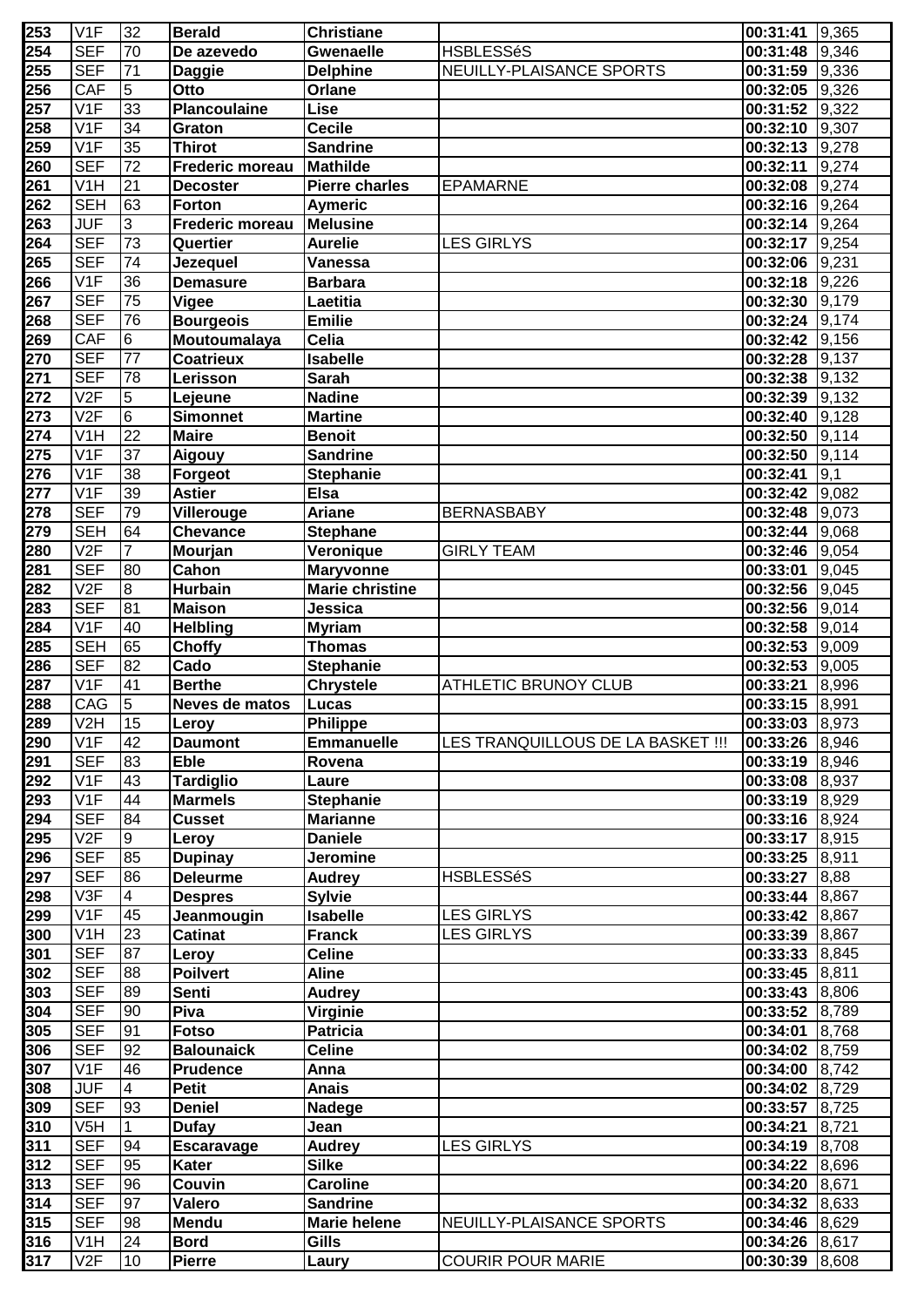| 253 | V <sub>1F</sub>           | 32              | <b>Berald</b>          | <b>Christiane</b>      |                                   | $\vert 00:31:41 \vert 9.365 \vert$ |       |
|-----|---------------------------|-----------------|------------------------|------------------------|-----------------------------------|------------------------------------|-------|
| 254 | <b>SEF</b>                | 70              | De azevedo             | <b>Gwenaelle</b>       | <b>HSBLESSéS</b>                  | 00:31:48                           | 9,346 |
| 255 | <b>SEF</b>                | 71              | <b>Daggie</b>          | <b>Delphine</b>        | NEUILLY-PLAISANCE SPORTS          | $00:31:59$ 9,336                   |       |
| 256 | CAF                       | $\overline{5}$  | Otto                   | <b>Orlane</b>          |                                   | $00:32:05$ 9,326                   |       |
| 257 | $\overline{\mathsf{V1F}}$ | 33              | <b>Plancoulaine</b>    | Lise                   |                                   | 00:31:52 9,322                     |       |
| 258 | V1F                       | 34              | Graton                 | <b>Cecile</b>          |                                   | 00:32:10 9,307                     |       |
| 259 | V1F                       | 35              | <b>Thirot</b>          | <b>Sandrine</b>        |                                   | 00:32:13                           | 9,278 |
| 260 | <b>SEF</b>                | 72              | <b>Frederic moreau</b> | <b>Mathilde</b>        |                                   | 00:32:11                           | 9,274 |
|     | V <sub>1</sub> H          |                 |                        |                        |                                   |                                    |       |
| 261 |                           | 21              | <b>Decoster</b>        | <b>Pierre charles</b>  | <b>EPAMARNE</b>                   | 00:32:08 9,274                     |       |
| 262 | <b>SEH</b>                | 63              | <b>Forton</b>          | <b>Aymeric</b>         |                                   | 00:32:16 9,264                     |       |
| 263 | <b>JUF</b>                | 3               | <b>Frederic moreau</b> | <b>Melusine</b>        |                                   | $00:32:14$ 9,264                   |       |
| 264 | <b>SEF</b>                | 73              | Quertier               | <b>Aurelie</b>         | <b>LES GIRLYS</b>                 | $00:32:17$ 9,254                   |       |
| 265 | <b>SEF</b>                | 74              | Jezequel               | Vanessa                |                                   | 00:32:06 9,231                     |       |
| 266 | V1F                       | 36              | <b>Demasure</b>        | <b>Barbara</b>         |                                   | $00:32:18$ 9,226                   |       |
| 267 | <b>SEF</b>                | 75              | <b>Vigee</b>           | Laetitia               |                                   | 00:32:30                           | 9,179 |
| 268 | <b>SEF</b>                | 76              | <b>Bourgeois</b>       | <b>Emilie</b>          |                                   | 00:32:24 9,174                     |       |
| 269 | CAF                       | $6\overline{6}$ | Moutoumalaya           | Celia                  |                                   | $00:32:42$ 9,156                   |       |
| 270 | <b>SEF</b>                | 77              | Coatrieux              | <b>Isabelle</b>        |                                   | 00:32:28                           | 9,137 |
| 271 | <b>SEF</b>                | 78              | Lerisson               | <b>Sarah</b>           |                                   | 00:32:38                           | 9,132 |
| 272 | $\overline{\vee}$         | $\overline{5}$  | Lejeune                | <b>Nadine</b>          |                                   | 00:32:39                           | 9,132 |
| 273 | $\overline{\vee}$         | 6               | <b>Simonnet</b>        | <b>Martine</b>         |                                   | 00:32:40                           | 9,128 |
| 274 | V <sub>1</sub> H          | $\overline{22}$ | <b>Maire</b>           | <b>Benoit</b>          |                                   | 00:32:50 9,114                     |       |
| 275 | $\overline{\mathsf{V1F}}$ | 37              | Aigouy                 | <b>Sandrine</b>        |                                   | 00:32:50                           | 9,114 |
| 276 | V <sub>1</sub> F          | 38              | Forgeot                | <b>Stephanie</b>       |                                   | 00:32:41                           | 9,1   |
| 277 | $\overline{V1F}$          | 39              | <b>Astier</b>          | <b>Elsa</b>            |                                   | 00:32:42                           | 9,082 |
|     | <b>SEF</b>                | 79              |                        |                        | <b>BERNASBABY</b>                 |                                    | 9,073 |
| 278 | <b>SEH</b>                | 64              | Villerouge             | <b>Ariane</b>          |                                   | 00:32:48                           |       |
| 279 |                           |                 | <b>Chevance</b>        | <b>Stephane</b>        |                                   | 00:32:44                           | 9,068 |
| 280 | V2F                       | $\overline{7}$  | Mourjan                | Veronique              | <b>GIRLY TEAM</b>                 | 00:32:46 9,054                     |       |
| 281 | <b>SEF</b>                | 80              | Cahon                  | <b>Maryvonne</b>       |                                   | 00:33:01                           | 9,045 |
| 282 | V2F                       | 8               | <b>Hurbain</b>         | <b>Marie christine</b> |                                   | 00:32:56 9,045                     |       |
| 283 | <b>SEF</b>                | 81              | <b>Maison</b>          | Jessica                |                                   | 00:32:56 9,014                     |       |
| 284 | V1F                       | 40              | <b>Helbling</b>        | <b>Myriam</b>          |                                   | 00:32:58 9,014                     |       |
| 285 | <b>SEH</b>                | 65              | <b>Choffy</b>          | <b>Thomas</b>          |                                   | 00:32:53                           | 9,009 |
| 286 | <b>SEF</b>                | 82              | Cado                   | <b>Stephanie</b>       |                                   | 00:32:53                           | 9,005 |
| 287 | V1F                       | 41              | <b>Berthe</b>          | <b>Chrystele</b>       | <b>ATHLETIC BRUNOY CLUB</b>       | 00:33:21                           | 8,996 |
| 288 | CAG                       | 5               | Neves de matos         | <b>Lucas</b>           |                                   | 00:33:15 8.991                     |       |
| 289 | V2H                       | $\sqrt{15}$     | Leroy                  | Philippe               |                                   | 00:33:03 8,973                     |       |
| 290 | V <sub>1F</sub>           | 42              | <b>Daumont</b>         | <b>Emmanuelle</b>      | LES TRANQUILLOUS DE LA BASKET !!! | 00:33:26 8,946                     |       |
| 291 | <b>SEF</b>                | 83              | <b>Eble</b>            | Rovena                 |                                   | 00:33:19 8,946                     |       |
| 292 | V <sub>1F</sub>           | 43              | <b>Tardiglio</b>       | Laure                  |                                   | 00:33:08 8,937                     |       |
| 293 | V <sub>1</sub> F          | 44              | <b>Marmels</b>         | <b>Stephanie</b>       |                                   | $00:33:19$ 8,929                   |       |
| 294 | <b>SEF</b>                | 84              | <b>Cusset</b>          | <b>Marianne</b>        |                                   | 00:33:16 8,924                     |       |
| 295 | V2F                       | 9               | Leroy                  | <b>Daniele</b>         |                                   | 00:33:17 8,915                     |       |
| 296 | <b>SEF</b>                | 85              | <b>Dupinay</b>         | <b>Jeromine</b>        |                                   | 00:33:25 8,911                     |       |
| 297 | <b>SEF</b>                | 86              | <b>Deleurme</b>        | <b>Audrey</b>          | <b>HSBLESSéS</b>                  | $00:33:27$ 8,88                    |       |
| 298 | V3F                       | $\overline{4}$  | <b>Despres</b>         | <b>Sylvie</b>          |                                   | 00:33:44 8,867                     |       |
| 299 | V <sub>1</sub> F          | 45              | Jeanmougin             | <b>Isabelle</b>        | <b>LES GIRLYS</b>                 | 00:33:42 8,867                     |       |
| 300 | V <sub>1</sub> H          | 23              | <b>Catinat</b>         | <b>Franck</b>          | <b>LES GIRLYS</b>                 | 00:33:39 8,867                     |       |
| 301 | <b>SEF</b>                | 87              | Leroy                  | <b>Celine</b>          |                                   | 00:33:33 8,845                     |       |
| 302 | <b>SEF</b>                | 88              | <b>Poilvert</b>        | <b>Aline</b>           |                                   | $00:33:45$ 8,811                   |       |
| 303 | <b>SEF</b>                | 89              | <b>Senti</b>           | <b>Audrey</b>          |                                   | 00:33:43 8,806                     |       |
| 304 | <b>SEF</b>                | 90              | Piva                   | Virginie               |                                   | 00:33:52 8,789                     |       |
| 305 | <b>SEF</b>                | 91              | <b>Fotso</b>           | <b>Patricia</b>        |                                   | 00:34:01 8,768                     |       |
| 306 | <b>SEF</b>                | 92              | <b>Balounaick</b>      | <b>Celine</b>          |                                   | 00:34:02 8,759                     |       |
|     |                           |                 |                        |                        |                                   |                                    |       |
| 307 | V <sub>1</sub> F          | 46              | <b>Prudence</b>        | Anna                   |                                   | 00:34:00 8,742                     |       |
| 308 | JUF                       | $\overline{4}$  | <b>Petit</b>           | <b>Anais</b>           |                                   | $00:34:02$ 8,729                   |       |
| 309 | <b>SEF</b>                | 93              | <b>Deniel</b>          | Nadege                 |                                   | 00:33:57 8,725                     |       |
| 310 | V <sub>5</sub> H          | $\mathbf 1$     | <b>Dufay</b>           | Jean                   |                                   | 00:34:21 8,721                     |       |
| 311 | <b>SEF</b>                | 94              | <b>Escaravage</b>      | <b>Audrey</b>          | <b>LES GIRLYS</b>                 | 00:34:19 8,708                     |       |
| 312 | <b>SEF</b>                | 95              | Kater                  | <b>Silke</b>           |                                   | 00:34:22 8,696                     |       |
| 313 | <b>SEF</b>                | 96              | Couvin                 | <b>Caroline</b>        |                                   | 00:34:20 8,671                     |       |
| 314 | <b>SEF</b>                | 97              | Valero                 | <b>Sandrine</b>        |                                   | $00:34:32$ 8,633                   |       |
| 315 | <b>SEF</b>                | 98              | <b>Mendu</b>           | <b>Marie helene</b>    | NEUILLY-PLAISANCE SPORTS          | 00:34:46 8,629                     |       |
| 316 | V <sub>1</sub> H          | 24              | <b>Bord</b>            | Gills                  |                                   | 00:34:26 8,617                     |       |
| 317 | V2F                       | 10              | <b>Pierre</b>          | Laury                  | <b>COURIR POUR MARIE</b>          | 00:30:39 8,608                     |       |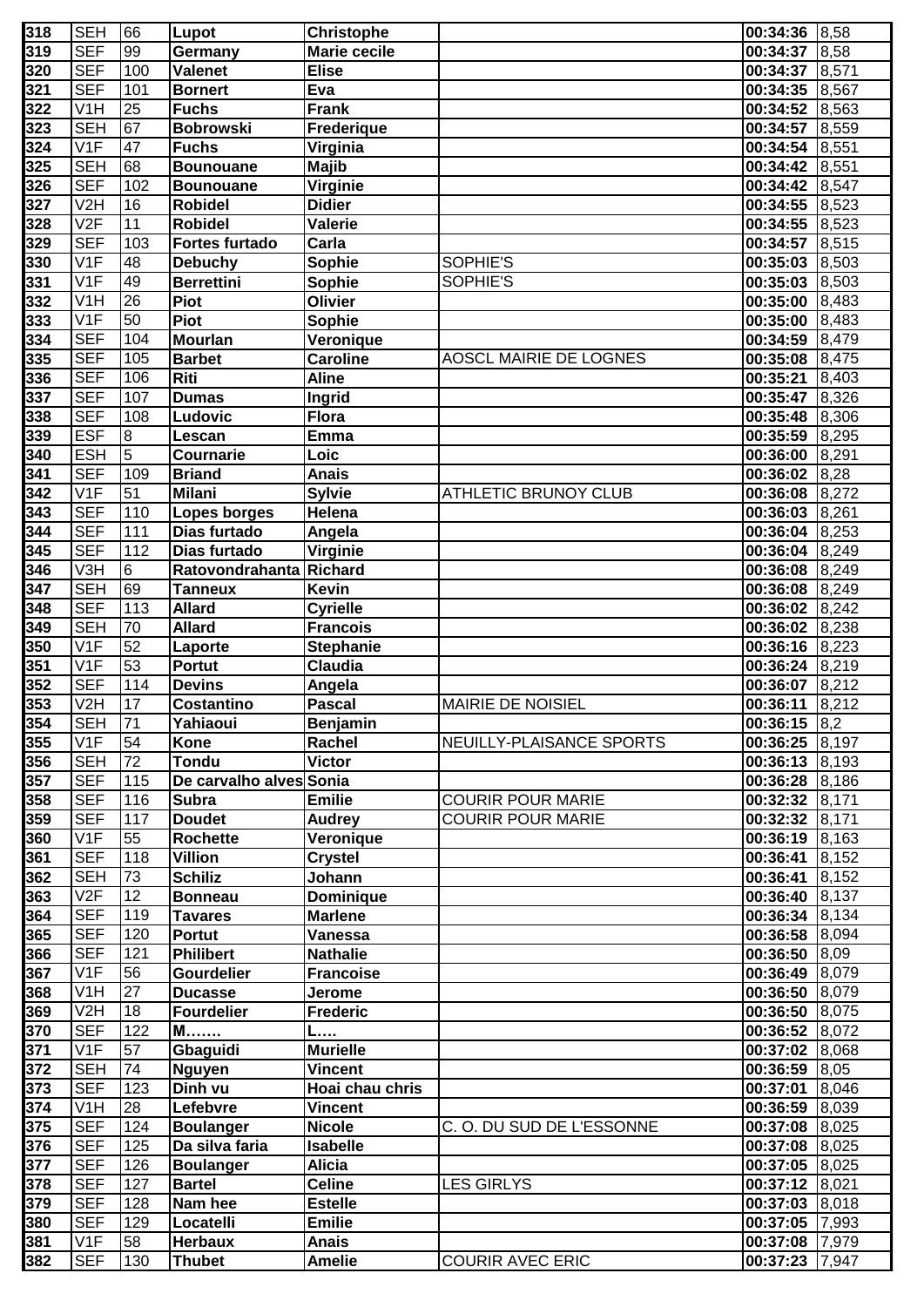| 318 | <b>SEH</b>       | 66             | Lupot                   | <b>Christophe</b>   |                               | 00:34:36 8,58        |       |
|-----|------------------|----------------|-------------------------|---------------------|-------------------------------|----------------------|-------|
| 319 | <b>SEF</b>       | 99             | Germany                 | <b>Marie cecile</b> |                               | 00:34:37             | 8,58  |
| 320 | <b>SEF</b>       | 100            | Valenet                 | <b>Elise</b>        |                               | 00:34:37             | 8,571 |
| 321 | <b>SEF</b>       | 101            | <b>Bornert</b>          | Eva                 |                               | 00:34:35 8,567       |       |
| 322 | V <sub>1</sub> H | 25             | <b>Fuchs</b>            | <b>Frank</b>        |                               | 00:34:52 8.563       |       |
| 323 | <b>SEH</b>       | 67             | <b>Bobrowski</b>        | Frederique          |                               | 00:34:57             | 8,559 |
| 324 | V <sub>1F</sub>  | 47             | <b>Fuchs</b>            | Virginia            |                               | 00:34:54 8.551       |       |
| 325 | <b>SEH</b>       | 68             | <b>Bounouane</b>        | <b>Majib</b>        |                               | 00:34:42 8,551       |       |
| 326 | <b>SEF</b>       | 102            | <b>Bounouane</b>        | Virginie            |                               | 00:34:42 8,547       |       |
| 327 | V <sub>2</sub> H | 16             | <b>Robidel</b>          | <b>Didier</b>       |                               | 00:34:55 8,523       |       |
| 328 | V2F              | 11             | <b>Robidel</b>          | Valerie             |                               | $00:34:55$ 8,523     |       |
| 329 | <b>SEF</b>       | 103            | <b>Fortes furtado</b>   | Carla               |                               | 00:34:57 8,515       |       |
| 330 | V <sub>1</sub> F | 48             | <b>Debuchy</b>          | Sophie              | SOPHIE'S                      | 00:35:03             | 8,503 |
| 331 | V1F              | 49             | <b>Berrettini</b>       | Sophie              | SOPHIE'S                      | 00:35:03             | 8,503 |
|     | V <sub>1</sub> H | 26             |                         |                     |                               |                      |       |
| 332 |                  |                | Piot                    | Olivier             |                               | 00:35:00             | 8,483 |
| 333 | V1F              | 50             | Piot                    | <b>Sophie</b>       |                               | 00:35:00 8,483       |       |
| 334 | <b>SEF</b>       | 104            | <b>Mourlan</b>          | Veronique           |                               | 00:34:59 8,479       |       |
| 335 | <b>SEF</b>       | 105            | <b>Barbet</b>           | <b>Caroline</b>     | <b>AOSCL MAIRIE DE LOGNES</b> | 00:35:08             | 8,475 |
| 336 | <b>SEF</b>       | 106            | Riti                    | <b>Aline</b>        |                               | 00:35:21             | 8,403 |
| 337 | <b>SEF</b>       | 107            | Dumas                   | Ingrid              |                               | 00:35:47             | 8,326 |
| 338 | <b>SEF</b>       | 108            | Ludovic                 | <b>Flora</b>        |                               | 00:35:48 8,306       |       |
| 339 | <b>ESF</b>       | 8              | Lescan                  | <b>Emma</b>         |                               | 00:35:59 8,295       |       |
| 340 | <b>ESH</b>       | $\overline{5}$ | Cournarie               | Loic                |                               | 00:36:00 8,291       |       |
| 341 | <b>SEF</b>       | 109            | <b>Briand</b>           | <b>Anais</b>        |                               | $00:36:02$ 8,28      |       |
| 342 | V1F              | 51             | <b>Milani</b>           | <b>Sylvie</b>       | <b>ATHLETIC BRUNOY CLUB</b>   | 00:36:08 8,272       |       |
| 343 | <b>SEF</b>       | 110            | <b>Lopes borges</b>     | Helena              |                               | 00:36:03 8,261       |       |
| 344 | <b>SEF</b>       | 111            | Dias furtado            | Angela              |                               | $00:36:04$ 8,253     |       |
| 345 | <b>SEF</b>       | 112            | Dias furtado            | Virginie            |                               | $00:36:04$ 8,249     |       |
| 346 | V3H              | 6              | Ratovondrahanta Richard |                     |                               | $00:36:08$ $8,249$   |       |
| 347 | <b>SEH</b>       | 69             | <b>Tanneux</b>          | <b>Kevin</b>        |                               | $00:36:08$ $8,249$   |       |
| 348 | <b>SEF</b>       | 113            | <b>Allard</b>           | <b>Cyrielle</b>     |                               | $00:36:02$ 8,242     |       |
| 349 | <b>SEH</b>       | 70             | <b>Allard</b>           | <b>Francois</b>     |                               | 00:36:02 8,238       |       |
| 350 | V1F              | 52             | Laporte                 | <b>Stephanie</b>    |                               | $00:36:16$ 8,223     |       |
| 351 | V <sub>1F</sub>  | 53             | <b>Portut</b>           | <b>Claudia</b>      |                               | $00:36:24$ 8,219     |       |
| 352 | <b>SEF</b>       | 114            | <b>Devins</b>           | Angela              |                               | 00:36:07             | 8,212 |
| 353 | V <sub>2</sub> H | 17             | <b>Costantino</b>       | <b>Pascal</b>       | <b>MAIRIE DE NOISIEL</b>      | 00:36:11             | 8,212 |
| 354 | SEH  71          |                | Yahiaoui                | <b>Benjamin</b>     |                               | $[00:36:15]$ $[8,2]$ |       |
| 355 | V <sub>1</sub> F | 54             | Kone                    | Rachel              | NEUILLY-PLAISANCE SPORTS      | 00:36:25 8,197       |       |
| 356 | <b>SEH</b>       | 72             | <b>Tondu</b>            | <b>Victor</b>       |                               | $00:36:13$ 8,193     |       |
| 357 | <b>SEF</b>       | 115            | De carvalho alves Sonia |                     |                               | 00:36:28 8,186       |       |
| 358 | <b>SEF</b>       | 116            | <b>Subra</b>            | <b>Emilie</b>       | <b>COURIR POUR MARIE</b>      | 00:32:32 8,171       |       |
|     |                  |                |                         |                     |                               |                      |       |
| 359 | <b>SEF</b>       | 117            | <b>Doudet</b>           | <b>Audrey</b>       | <b>COURIR POUR MARIE</b>      | 00:32:32 8,171       |       |
| 360 | V <sub>1F</sub>  | 55             | Rochette                | Veronique           |                               | $00:36:19$ 8,163     |       |
| 361 | <b>SEF</b>       | 118            | <b>Villion</b>          | <b>Crystel</b>      |                               | 00:36:41             | 8,152 |
| 362 | <b>SEH</b>       | 73             | <b>Schiliz</b>          | Johann              |                               | 00:36:41             | 8,152 |
| 363 | V2F              | 12             | <b>Bonneau</b>          | <b>Dominique</b>    |                               | 00:36:40 8,137       |       |
| 364 | <b>SEF</b>       | 119            | <b>Tavares</b>          | <b>Marlene</b>      |                               | 00:36:34 8,134       |       |
| 365 | <b>SEF</b>       | 120            | Portut                  | <b>Vanessa</b>      |                               | 00:36:58 8,094       |       |
| 366 | <b>SEF</b>       | 121            | <b>Philibert</b>        | <b>Nathalie</b>     |                               | $00:36:50$ 8,09      |       |
| 367 | V <sub>1F</sub>  | 56             | <b>Gourdelier</b>       | <b>Francoise</b>    |                               | 00:36:49 8,079       |       |
| 368 | V <sub>1</sub> H | 27             | <b>Ducasse</b>          | Jerome              |                               | 00:36:50 8,079       |       |
| 369 | V <sub>2</sub> H | 18             | <b>Fourdelier</b>       | <b>Frederic</b>     |                               | 00:36:50 8,075       |       |
| 370 | <b>SEF</b>       | 122            | $M$                     | L                   |                               | 00:36:52 8,072       |       |
| 371 | V <sub>1</sub> F | 57             | Gbaguidi                | <b>Murielle</b>     |                               | 00:37:02 8,068       |       |
| 372 | <b>SEH</b>       | 74             | <b>Nguyen</b>           | <b>Vincent</b>      |                               | $00:36:59$ 8,05      |       |
| 373 | <b>SEF</b>       | 123            | Dinh vu                 | Hoai chau chris     |                               | 00:37:01             | 8,046 |
| 374 | V <sub>1</sub> H | 28             | Lefebvre                | <b>Vincent</b>      |                               | 00:36:59 8,039       |       |
| 375 | <b>SEF</b>       | 124            | <b>Boulanger</b>        | <b>Nicole</b>       | C.O. DU SUD DE L'ESSONNE      | 00:37:08 8,025       |       |
| 376 | <b>SEF</b>       | 125            | Da silva faria          | <b>Isabelle</b>     |                               | 00:37:08 8,025       |       |
| 377 | <b>SEF</b>       | 126            | <b>Boulanger</b>        | <b>Alicia</b>       |                               | 00:37:05 8,025       |       |
| 378 | <b>SEF</b>       | 127            | <b>Bartel</b>           | <b>Celine</b>       | <b>LES GIRLYS</b>             | $00:37:12$ 8,021     |       |
| 379 | <b>SEF</b>       | 128            | Nam hee                 | <b>Estelle</b>      |                               | 00:37:03             | 8,018 |
| 380 | <b>SEF</b>       | 129            | Locatelli               | <b>Emilie</b>       |                               | 00:37:05             | 7,993 |
| 381 | V <sub>1</sub> F | 58             | <b>Herbaux</b>          | <b>Anais</b>        |                               | 00:37:08             | 7,979 |
| 382 | <b>SEF</b>       | 130            | <b>Thubet</b>           | <b>Amelie</b>       | <b>COURIR AVEC ERIC</b>       | 00:37:23             | 7,947 |
|     |                  |                |                         |                     |                               |                      |       |